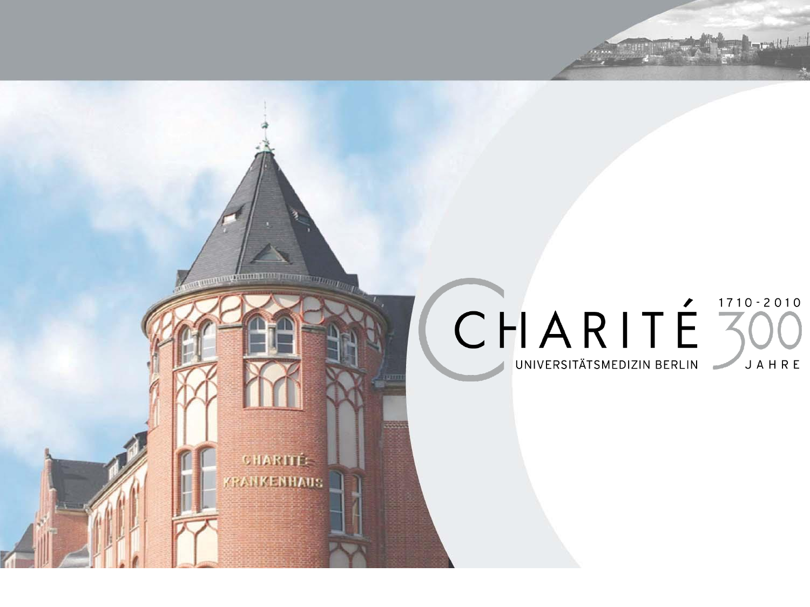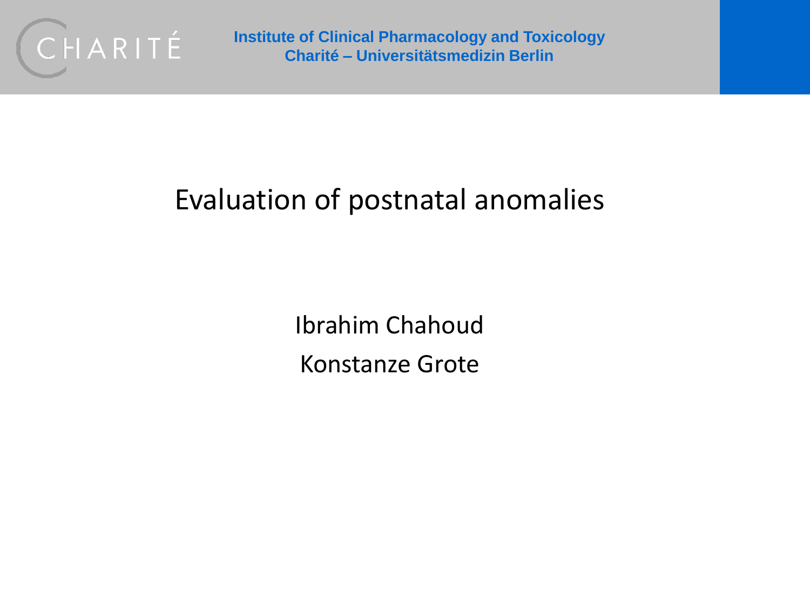

**Institute of Clinical Pharmacology and Toxicology Charité – Universitätsmedizin Berlin**

# Evaluation of postnatal anomalies

Ibrahim Chahoud Konstanze Grote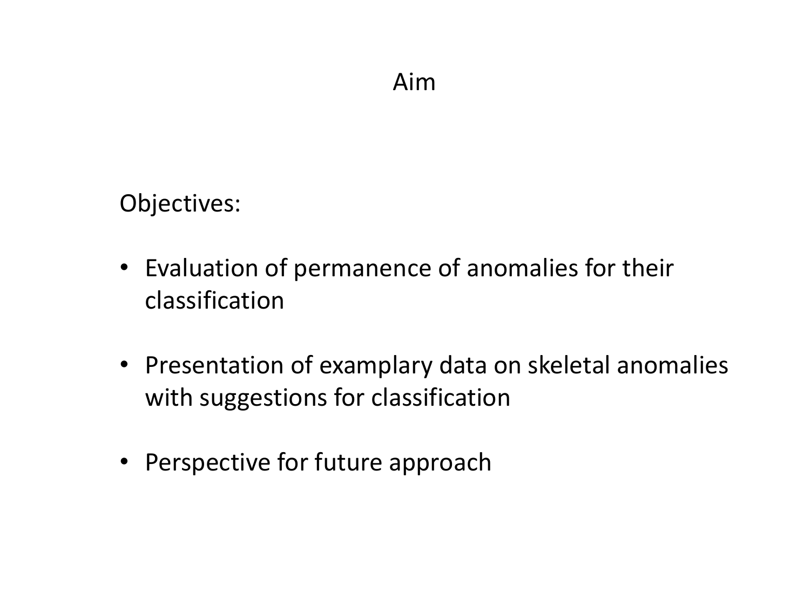### Aim

Objectives:

- Evaluation of permanence of anomalies for their classification
- Presentation of examplary data on skeletal anomalies with suggestions for classification
- Perspective for future approach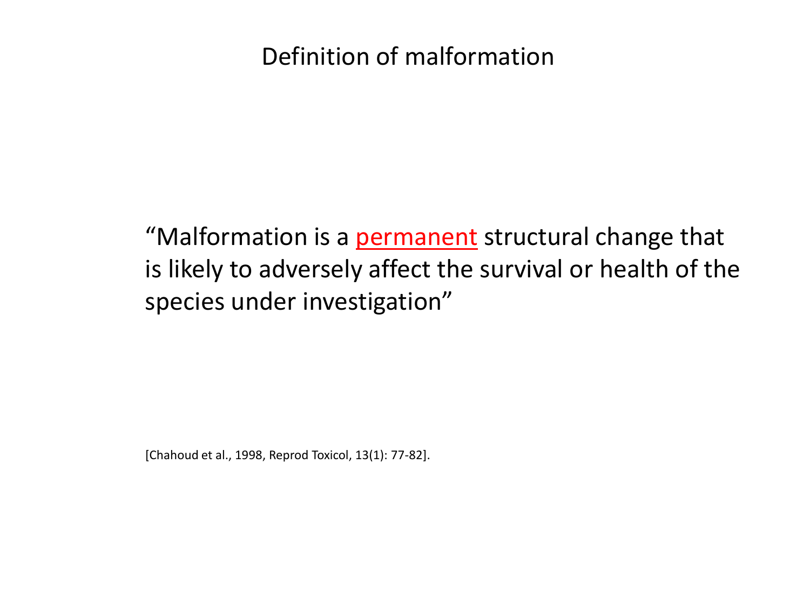### Definition of malformation

"Malformation is a **permanent** structural change that is likely to adversely affect the survival or health of the species under investigation"

[Chahoud et al., 1998, Reprod Toxicol, 13(1): 77-82].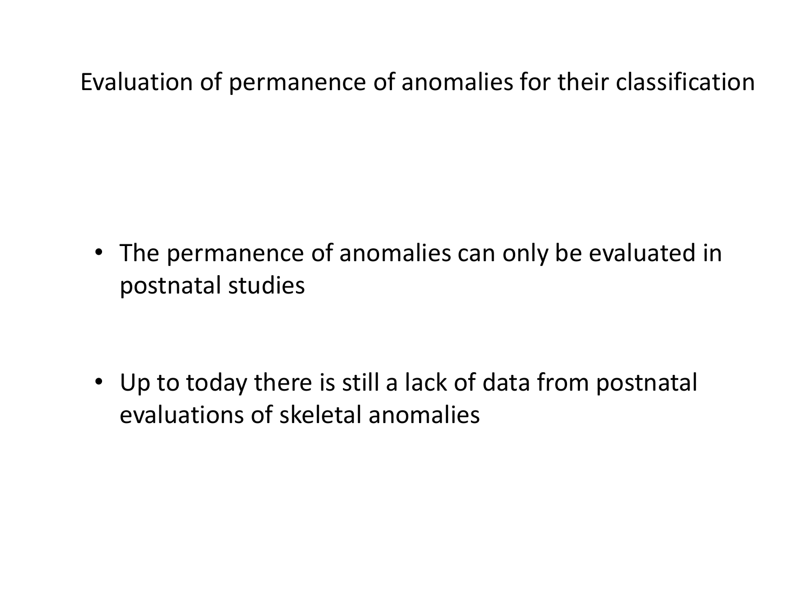# Evaluation of permanence of anomalies for their classification

• The permanence of anomalies can only be evaluated in postnatal studies

• Up to today there is still a lack of data from postnatal evaluations of skeletal anomalies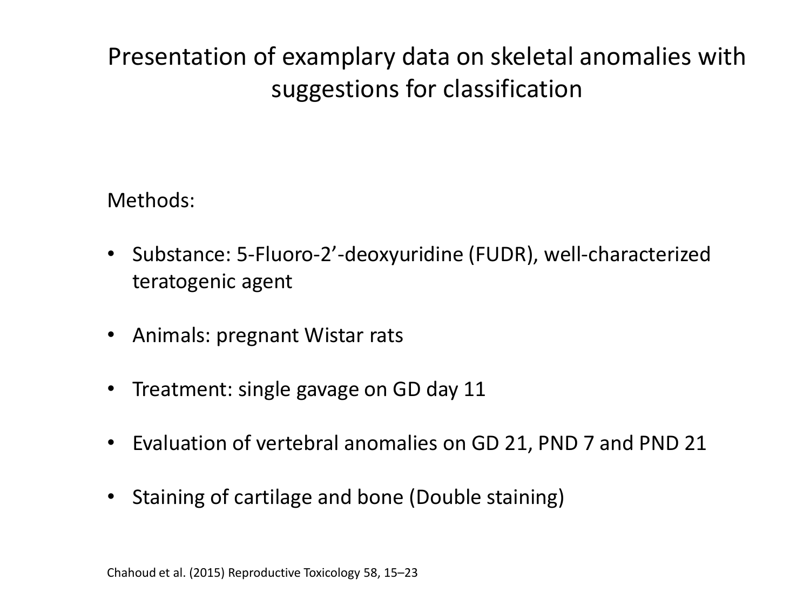# Presentation of examplary data on skeletal anomalies with suggestions for classification

Methods:

- Substance: 5-Fluoro-2'-deoxyuridine (FUDR), well-characterized teratogenic agent
- Animals: pregnant Wistar rats
- Treatment: single gavage on GD day 11
- Evaluation of vertebral anomalies on GD 21, PND 7 and PND 21
- Staining of cartilage and bone (Double staining)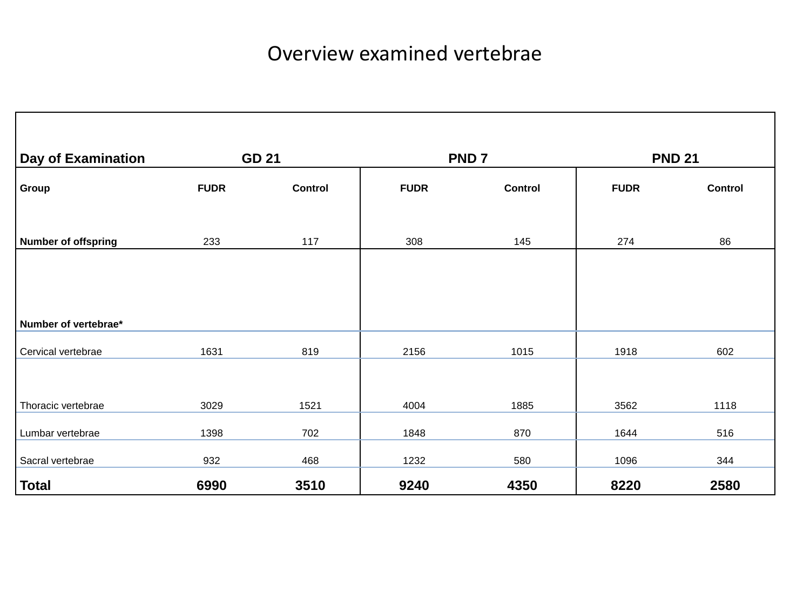### Overview examined vertebrae

| <b>Day of Examination</b>  |             | <b>GD 21</b> |             | PND <sub>7</sub> | <b>PND 21</b> |         |  |
|----------------------------|-------------|--------------|-------------|------------------|---------------|---------|--|
| Group                      | <b>FUDR</b> | Control      | <b>FUDR</b> | Control          | <b>FUDR</b>   | Control |  |
| <b>Number of offspring</b> | 233         | 117          | 308         | 145              | 274           | 86      |  |
|                            |             |              |             |                  |               |         |  |
|                            |             |              |             |                  |               |         |  |
| Number of vertebrae*       |             |              |             |                  |               |         |  |
|                            |             |              |             |                  |               |         |  |
| Cervical vertebrae         | 1631        | 819          | 2156        | 1015             | 1918          | 602     |  |
|                            |             |              |             |                  |               |         |  |
| Thoracic vertebrae         | 3029        | 1521         | 4004        | 1885             | 3562          | 1118    |  |
| Lumbar vertebrae           | 1398        | 702          | 1848        | 870              | 1644          | 516     |  |
| Sacral vertebrae           | 932         | 468          | 1232        | 580              | 1096          | 344     |  |
| <b>Total</b>               | 6990        | 3510         | 9240        | 4350             | 8220          | 2580    |  |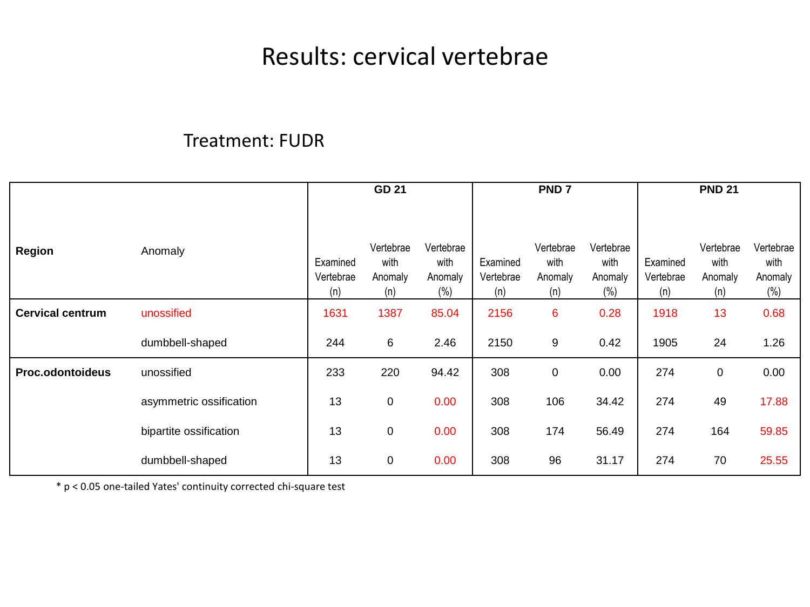## Results: cervical vertebrae

#### Treatment: FUDR

|                         |                         |                              | <b>GD 21</b>                        |                                         | PND <sub>7</sub>             |                                     |                                        | <b>PND 21</b>                |                                     |                                        |
|-------------------------|-------------------------|------------------------------|-------------------------------------|-----------------------------------------|------------------------------|-------------------------------------|----------------------------------------|------------------------------|-------------------------------------|----------------------------------------|
| <b>Region</b>           | Anomaly                 | Examined<br>Vertebrae<br>(n) | Vertebrae<br>with<br>Anomaly<br>(n) | Vertebrae<br>with<br>Anomaly<br>$(\% )$ | Examined<br>Vertebrae<br>(n) | Vertebrae<br>with<br>Anomaly<br>(n) | Vertebrae<br>with<br>Anomaly<br>$(\%)$ | Examined<br>Vertebrae<br>(n) | Vertebrae<br>with<br>Anomaly<br>(n) | Vertebrae<br>with<br>Anomaly<br>$(\%)$ |
| <b>Cervical centrum</b> | unossified              | 1631                         | 1387                                | 85.04                                   | 2156                         | 6                                   | 0.28                                   | 1918                         | 13                                  | 0.68                                   |
|                         | dumbbell-shaped         | 244                          | 6                                   | 2.46                                    | 2150                         | 9                                   | 0.42                                   | 1905                         | 24                                  | 1.26                                   |
| <b>Proc.odontoideus</b> | unossified              | 233                          | 220                                 | 94.42                                   | 308                          | 0                                   | 0.00                                   | 274                          | $\pmb{0}$                           | 0.00                                   |
|                         | asymmetric ossification | 13                           | 0                                   | 0.00                                    | 308                          | 106                                 | 34.42                                  | 274                          | 49                                  | 17.88                                  |
|                         | bipartite ossification  | 13                           | 0                                   | 0.00                                    | 308                          | 174                                 | 56.49                                  | 274                          | 164                                 | 59.85                                  |
|                         | dumbbell-shaped         | 13                           | 0                                   | 0.00                                    | 308                          | 96                                  | 31.17                                  | 274                          | 70                                  | 25.55                                  |

\* p < 0.05 one-tailed Yates' continuity corrected chi-square test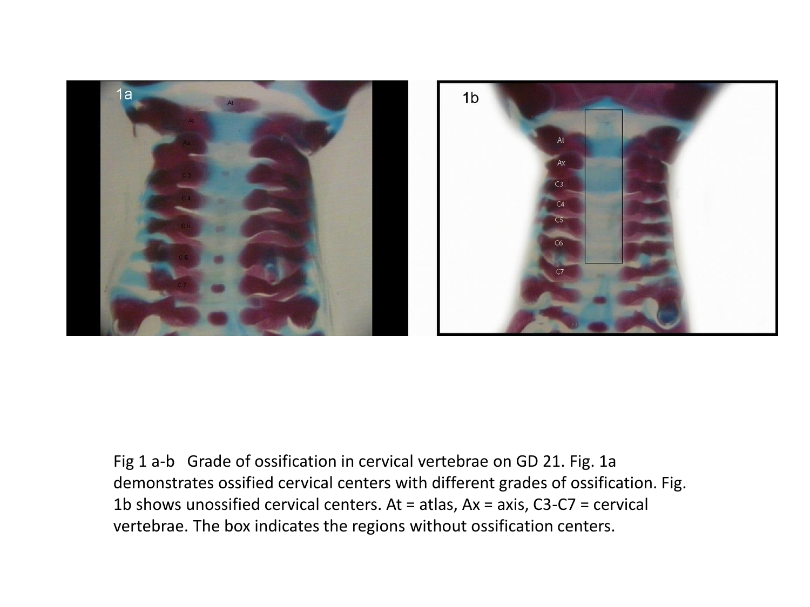

Fig 1 a-b Grade of ossification in cervical vertebrae on GD 21. Fig. 1a demonstrates ossified cervical centers with different grades of ossification. Fig. 1b shows unossified cervical centers. At = atlas,  $Ax = axis$ ,  $C3-C7 = cervical$ vertebrae. The box indicates the regions without ossification centers.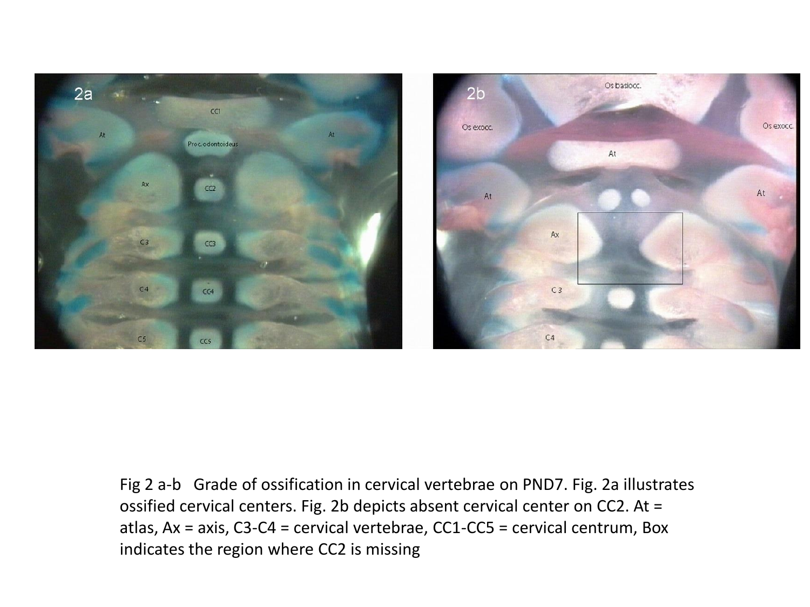

Fig 2 a-b Grade of ossification in cervical vertebrae on PND7. Fig. 2a illustrates ossified cervical centers. Fig. 2b depicts absent cervical center on CC2. At = atlas, Ax = axis, C3-C4 = cervical vertebrae, CC1-CC5 = cervical centrum, Box indicates the region where CC2 is missing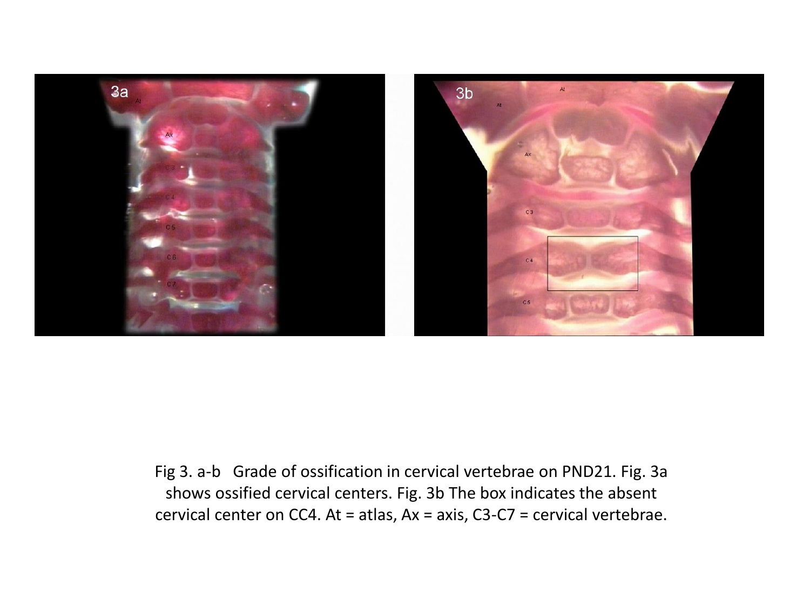

Fig 3. a-b Grade of ossification in cervical vertebrae on PND21. Fig. 3a shows ossified cervical centers. Fig. 3b The box indicates the absent cervical center on CC4. At = atlas,  $Ax = axis$ , C3-C7 = cervical vertebrae.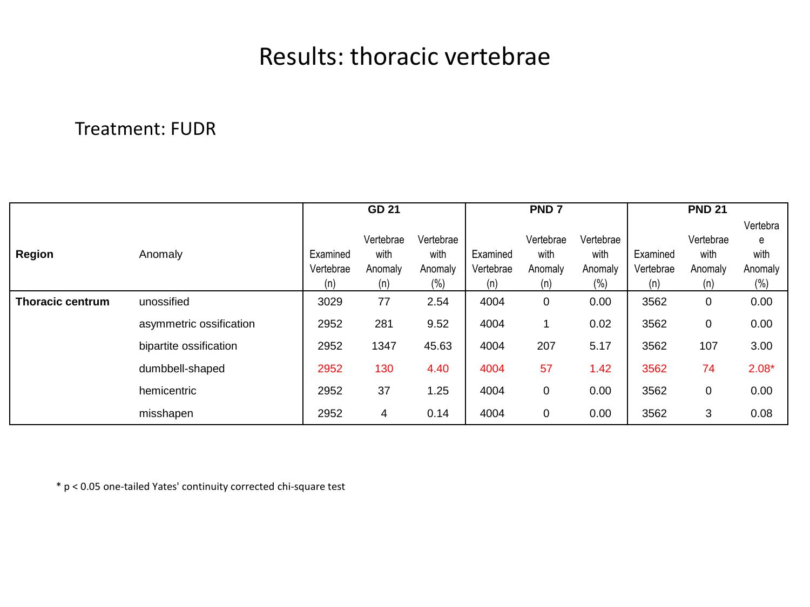## Results: thoracic vertebrae

#### Treatment: FUDR

|                         |                         |           | <b>GD 21</b> |           |           | PND <sub>7</sub> |           |           | <b>PND 21</b> |          |
|-------------------------|-------------------------|-----------|--------------|-----------|-----------|------------------|-----------|-----------|---------------|----------|
|                         |                         |           |              |           |           |                  |           |           |               | Vertebra |
|                         |                         |           | Vertebrae    | Vertebrae |           | Vertebrae        | Vertebrae |           | Vertebrae     | e        |
| <b>Region</b>           | Anomaly                 | Examined  | with         | with      | Examined  | with             | with      | Examined  | with          | with     |
|                         |                         | Vertebrae | Anomaly      | Anomaly   | Vertebrae | Anomaly          | Anomaly   | Vertebrae | Anomaly       | Anomaly  |
|                         |                         | (n)       | (n)          | $(\%)$    | (n)       | (n)              | $(\% )$   | (n)       | (n)           | (%)      |
| <b>Thoracic centrum</b> | unossified              | 3029      | 77           | 2.54      | 4004      | 0                | 0.00      | 3562      | 0             | 0.00     |
|                         | asymmetric ossification | 2952      | 281          | 9.52      | 4004      |                  | 0.02      | 3562      | 0             | 0.00     |
|                         | bipartite ossification  | 2952      | 1347         | 45.63     | 4004      | 207              | 5.17      | 3562      | 107           | 3.00     |
|                         | dumbbell-shaped         | 2952      | 130          | 4.40      | 4004      | 57               | 1.42      | 3562      | 74            | $2.08*$  |
|                         | hemicentric             | 2952      | 37           | 1.25      | 4004      | 0                | 0.00      | 3562      | 0             | 0.00     |
|                         | misshapen               | 2952      | 4            | 0.14      | 4004      | 0                | 0.00      | 3562      | 3             | 0.08     |

\* p < 0.05 one-tailed Yates' continuity corrected chi-square test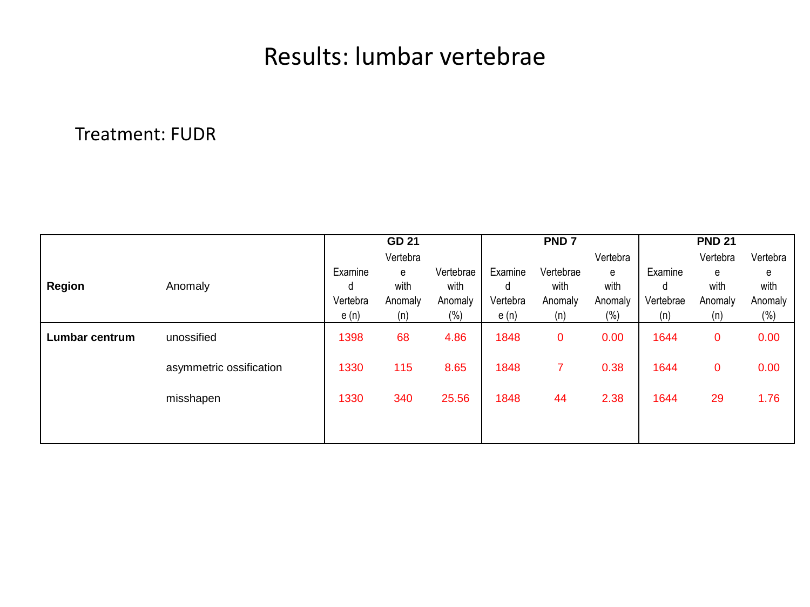# Results: lumbar vertebrae

#### Treatment: FUDR

|                |                         |          | <b>GD 21</b> |           |          | PND <sub>7</sub> |          |           | <b>PND 21</b> |          |
|----------------|-------------------------|----------|--------------|-----------|----------|------------------|----------|-----------|---------------|----------|
|                |                         |          | Vertebra     |           |          |                  | Vertebra |           | Vertebra      | Vertebra |
|                |                         | Examine  | e            | Vertebrae | Examine  | Vertebrae        | e        | Examine   | e             | e        |
| <b>Region</b>  | Anomaly                 | d        | with         | with      | d        | with             | with     | d         | with          | with     |
|                |                         | Vertebra | Anomaly      | Anomaly   | Vertebra | Anomaly          | Anomaly  | Vertebrae | Anomaly       | Anomaly  |
|                |                         | e(n)     | (n)          | $(\%)$    | e (n)    | (n)              | (%)      | (n)       | (n)           | $(\%)$   |
| Lumbar centrum | unossified              | 1398     | 68           | 4.86      | 1848     | $\mathbf{0}$     | 0.00     | 1644      | $\mathbf 0$   | 0.00     |
|                | asymmetric ossification | 1330     | 115          | 8.65      | 1848     | 7                | 0.38     | 1644      | $\mathbf 0$   | 0.00     |
|                | misshapen               | 1330     | 340          | 25.56     | 1848     | 44               | 2.38     | 1644      | 29            | 1.76     |
|                |                         |          |              |           |          |                  |          |           |               |          |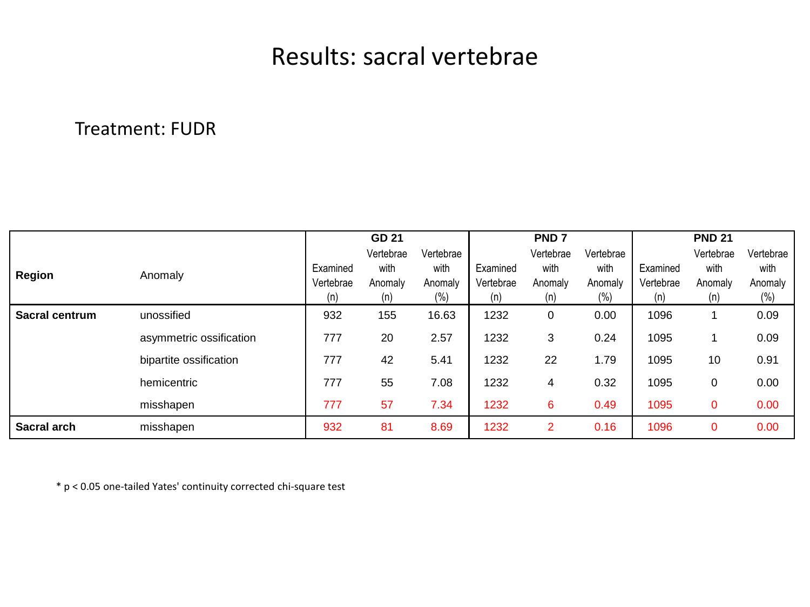## Results: sacral vertebrae

#### Treatment: FUDR

|                |                         |           | <b>GD 21</b> |           |           | PND <sub>7</sub> |           |           | <b>PND 21</b> |           |
|----------------|-------------------------|-----------|--------------|-----------|-----------|------------------|-----------|-----------|---------------|-----------|
|                |                         |           | Vertebrae    | Vertebrae |           | Vertebrae        | Vertebrae |           | Vertebrae     | Vertebrae |
| <b>Region</b>  | Anomaly                 | Examined  | with         | with      | Examined  | with             | with      | Examined  | with          | with      |
|                |                         | Vertebrae | Anomaly      | Anomaly   | Vertebrae | Anomaly          | Anomaly   | Vertebrae | Anomaly       | Anomaly   |
|                |                         | (n)       | (n)          | (%)       | (n)       | (n)              | (%)       | (n)       | (n)           | $(\%)$    |
| Sacral centrum | unossified              | 932       | 155          | 16.63     | 1232      | 0                | 0.00      | 1096      |               | 0.09      |
|                | asymmetric ossification | 777       | 20           | 2.57      | 1232      | 3                | 0.24      | 1095      |               | 0.09      |
|                | bipartite ossification  | 777       | 42           | 5.41      | 1232      | 22               | 1.79      | 1095      | 10            | 0.91      |
|                | hemicentric             | 777       | 55           | 7.08      | 1232      | 4                | 0.32      | 1095      | 0             | 0.00      |
|                | misshapen               | 777       | 57           | 7.34      | 1232      | 6                | 0.49      | 1095      | 0             | 0.00      |
| Sacral arch    | misshapen               | 932       | 81           | 8.69      | 1232      | $\overline{2}$   | 0.16      | 1096      | 0             | 0.00      |

\* p < 0.05 one-tailed Yates' continuity corrected chi-square test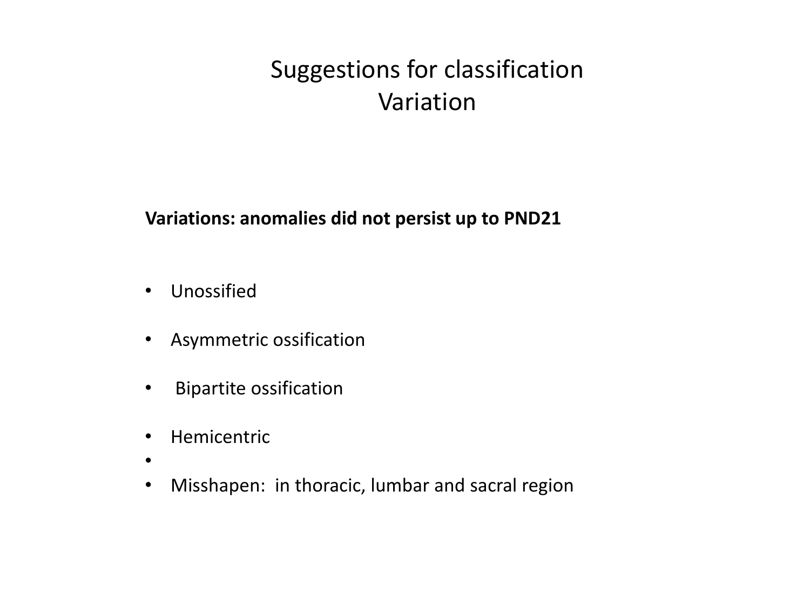# Suggestions for classification Variation

### **Variations: anomalies did not persist up to PND21**

- Unossified
- Asymmetric ossification
- Bipartite ossification
- Hemicentric
- •
- Misshapen: in thoracic, lumbar and sacral region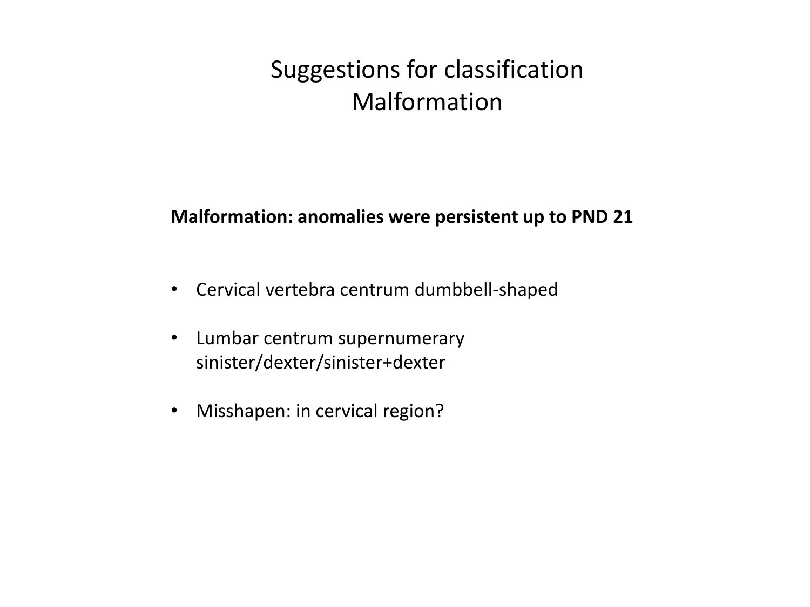# Suggestions for classification Malformation

#### **Malformation: anomalies were persistent up to PND 21**

- Cervical vertebra centrum dumbbell-shaped
- Lumbar centrum supernumerary sinister/dexter/sinister+dexter
- Misshapen: in cervical region?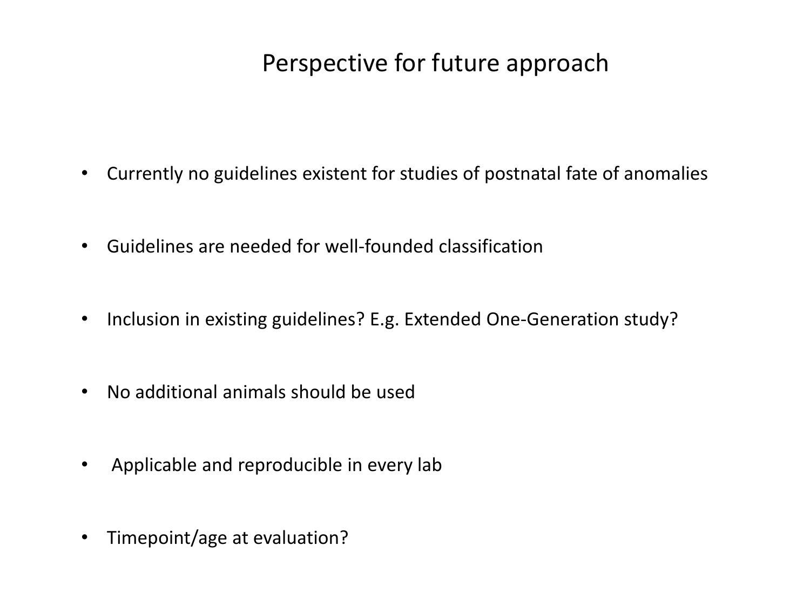### Perspective for future approach

- Currently no guidelines existent for studies of postnatal fate of anomalies
- Guidelines are needed for well-founded classification
- Inclusion in existing guidelines? E.g. Extended One-Generation study?
- No additional animals should be used
- Applicable and reproducible in every lab
- Timepoint/age at evaluation?